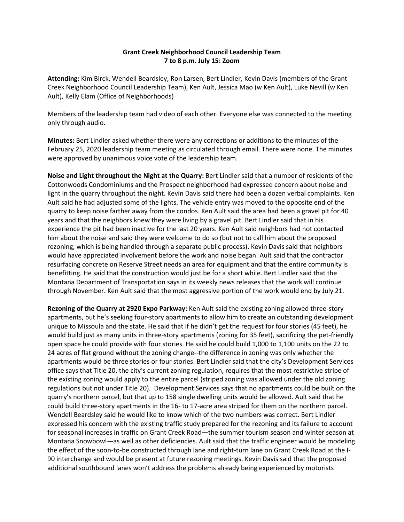## **Grant Creek Neighborhood Council Leadership Team 7 to 8 p.m. July 15: Zoom**

**Attending:** Kim Birck, Wendell Beardsley, Ron Larsen, Bert Lindler, Kevin Davis (members of the Grant Creek Neighborhood Council Leadership Team), Ken Ault, Jessica Mao (w Ken Ault), Luke Nevill (w Ken Ault), Kelly Elam (Office of Neighborhoods)

Members of the leadership team had video of each other. Everyone else was connected to the meeting only through audio.

**Minutes:** Bert Lindler asked whether there were any corrections or additions to the minutes of the February 25, 2020 leadership team meeting as circulated through email. There were none. The minutes were approved by unanimous voice vote of the leadership team.

**Noise and Light throughout the Night at the Quarry:** Bert Lindler said that a number of residents of the Cottonwoods Condominiums and the Prospect neighborhood had expressed concern about noise and light in the quarry throughout the night. Kevin Davis said there had been a dozen verbal complaints. Ken Ault said he had adjusted some of the lights. The vehicle entry was moved to the opposite end of the quarry to keep noise farther away from the condos. Ken Ault said the area had been a gravel pit for 40 years and that the neighbors knew they were living by a gravel pit. Bert Lindler said that in his experience the pit had been inactive for the last 20 years. Ken Ault said neighbors had not contacted him about the noise and said they were welcome to do so (but not to call him about the proposed rezoning, which is being handled through a separate public process). Kevin Davis said that neighbors would have appreciated involvement before the work and noise began. Ault said that the contractor resurfacing concrete on Reserve Street needs an area for equipment and that the entire community is benefitting. He said that the construction would just be for a short while. Bert Lindler said that the Montana Department of Transportation says in its weekly news releases that the work will continue through November. Ken Ault said that the most aggressive portion of the work would end by July 21.

**Rezoning of the Quarry at 2920 Expo Parkway:** Ken Ault said the existing zoning allowed three-story apartments, but he's seeking four-story apartments to allow him to create an outstanding development unique to Missoula and the state. He said that if he didn't get the request for four stories (45 feet), he would build just as many units in three-story apartments (zoning for 35 feet), sacrificing the pet-friendly open space he could provide with four stories. He said he could build 1,000 to 1,100 units on the 22 to 24 acres of flat ground without the zoning change--the difference in zoning was only whether the apartments would be three stories or four stories. Bert Lindler said that the city's Development Services office says that Title 20, the city's current zoning regulation, requires that the most restrictive stripe of the existing zoning would apply to the entire parcel (striped zoning was allowed under the old zoning regulations but not under Title 20). Development Services says that no apartments could be built on the quarry's northern parcel, but that up to 158 single dwelling units would be allowed. Ault said that he could build three-story apartments in the 16- to 17-acre area striped for them on the northern parcel. Wendell Beardsley said he would like to know which of the two numbers was correct. Bert Lindler expressed his concern with the existing traffic study prepared for the rezoning and its failure to account for seasonal increases in traffic on Grant Creek Road—the summer tourism season and winter season at Montana Snowbowl—as well as other deficiencies. Ault said that the traffic engineer would be modeling the effect of the soon-to-be constructed through lane and right-turn lane on Grant Creek Road at the I-90 interchange and would be present at future rezoning meetings. Kevin Davis said that the proposed additional southbound lanes won't address the problems already being experienced by motorists